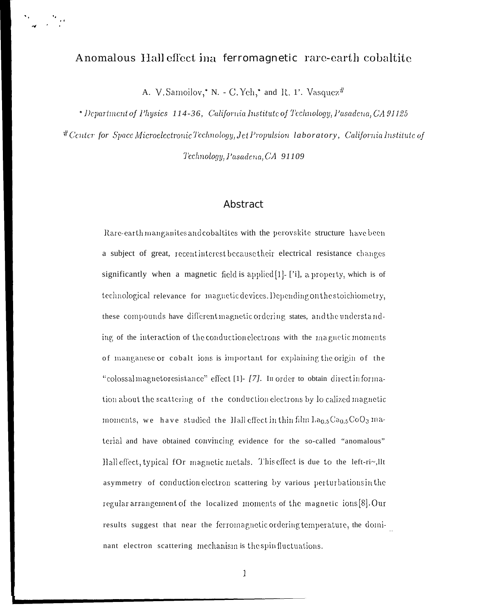## Anomalous Hall effect ina ferromagnetic rare-earth cobaltite

A. V. Samoilov,\* N. - C. Yeh,\* and R. 1'. Vasquez#

\* Department of Physics 114-36, California Institute of Technology, Pasadena, CA 91125 # Center for Space Microelectronic Technology, Jet Propulsion laboratory, California Institute of Technology, Pasadena, CA 91109

## Abstract

Rare-earth manganites and cobaltities with the perovskite structure have been a subject of great, recent interest because their electrical resistance changes significantly when a magnetic field is applied[1]- ['i], a property, which is of technological relevance for magnetic devices. Depending on the stoichiometry, these compounds have different magnetic ordering states, and the understanding of the interaction of the conduction electrons with the magnetic moments of manganese or cobalt ions is important for explaining the origin of the "colossal magnetoresistance" effect [1]- [7]. In order to obtain direct information about the scattering of the conduction electrons by lo calized magnetic moments, we have studied the Hall effect in thin film  $\text{La}_{0.5}\text{Ca}_{0.5}\text{CoO}_3$  material and have obtained convincing evidence for the so-called "anomalous" Hall effect, typical fOr magnetic metals. This effect is due to the left-ri~,llt asymmetry of conduction electron scattering by various perturbations in the regular arrangement of the localized moments of the magnetic ions [8]. Our results suggest that near the ferromagnetic ordering temperature, the dominant electron scattering mechanism is the spin fluctuations.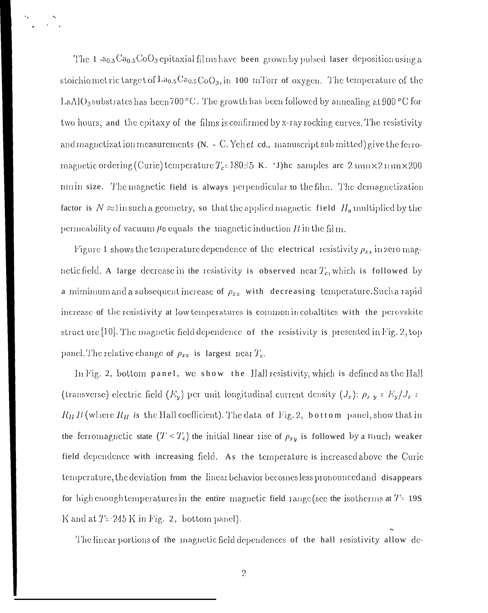The 1  $a_{0.5}Ca_{0.5}CoO_3$  epitaxial films have been grown by pulsed laser deposition using a stoichiometric targe t of  $La_{0.5}Ca_{0.5}CoO_3$ , in 100 mTorr of oxygen. The temperature of the LaAlO<sub>3</sub> substrates has been 700 $^{\circ}$ C. The growth has been followed by annealing at 900 $^{\circ}$ C for two hours, and the epitaxy of the films is confirmed by x-ray rocking curves. The resistivity and magnetization measurements  $(N. - C.$  Yeh et ed., manuscript sub mitted) give the ferromagnetic ordering (Curie) temperature  $T_c = 180 \pm 5$  K. 'J)he samples are 2 mm  $\times 2$  mm  $\times 200$ nmin size. The magnetic field is always perpendicular to the film. The demagnetization factor is  $N \approx 1$  in such a geometry, so that the applied magnetic field  $H_a$  multiplied by the permeability of vacuum  $\mu$  equals the magnetic induction B in the film.

Figure 1 shows the temperature dependence of the electrical resistivity  $\rho_{xx}$  in zero magnetic field. A large decrease in the resistivity is observed near  $T_c$ , which is followed by a mimimum and a subsequent increase of  $\rho_{xx}$  with decreasing temperature. Such a rapid increase of the resistivity at low temperatures is common in cobaltities with the perovskite struct ure  $[10]$ . The magnetic field dependence of the resistivity is presented in Fig. 2, top panel. The relative change of  $\rho_{xx}$  is largest near  $T_c$ .

In Fig. 2, bottom panel, we show the Hall resistivity, which is defined as the Hall (transverse) electric field  $(F_y)$  per unit longitudinal current density  $(J_x)$ :  $\rho_{xy} = E_y/J_x$ :  $R_H B$  (where  $R_H$  is the Hall coefficient). The data of Fig. 2, bottom panel, show that in the ferromagnetic state  $(T < T_c)$  the initial linear rise of  $\rho_{xy}$  is followed by a much weaker field dependence with increasing field. As the temperature is increased above the Curie temperature, the deviation from the linear behavior becomes less pronounced and disappears for high enough temperatures in the entiremagnetic field range (see the isotherms at  $T = 19S$ K and at  $T = 245$  K in Fig. 2, bottom panel).

The linear portions of the magnetic field dependences of the hall resistivity allow de-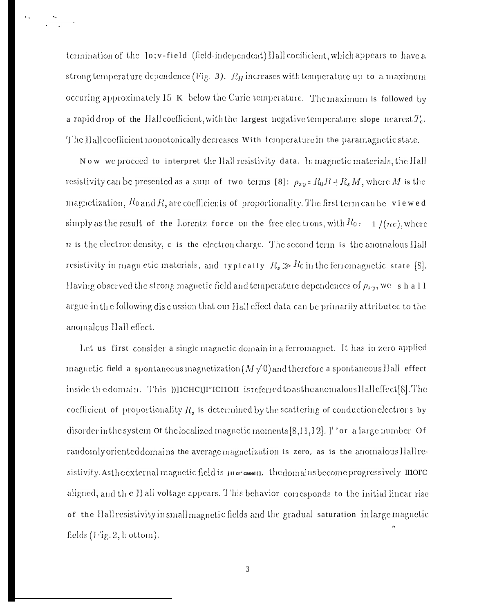termination of the lo; v-field (field-independent) Hall coefficient, which appears to have a strong temperature dependence (Fig. 3).  $R_H$  increases with temperature up to a maximum occuring approximately  $15 \text{ K}$  below the Curic temperature. The maximum is followed by a rapid drop of the Hall coefficient, with the largest negative temperature slope nearest  $T_c$ . The Hall coefficient monotonically decreases With temperature in the paramagnetic state.

Now we proceed to interpret the Hall resistivity data. In magnetic materials, the Hall resistivity can be presented as a sum of two terms [8]:  $\rho_{xy} = R_0 B + R_s M$ , where M is the magnetization,  $R_0$  and  $R_s$  are coefficients of proportionality. The first term can be viewed simply as the result of the Lorentz force on the free electrons, with  $R_{0z} = 1/(nc)$ , where  $n$  is the electron density, c is the electron charge. The second term is the anomalous Hall resistivity in magn etic materials, and typically  $R_s \gg R_0$  in the ferromagnetic state [8]. Having observed the strong magnetic field and temperature dependences of  $\rho_{xy}$ , we shall argue in the following discussion that our Hall effect data can be primarily attributed to the anomalous Hall effect.

Let us first consider a single magnetic domain in a ferromagnet. It has in zero applied magnetic field a spontaneous magnetization ( $M \neq 0$ ) and therefore a spontaneous Hall effect inside the domain. This })[1CHC]H"ICHOH is referred to as the anomalous Hall effect [8]. The coefficient of proportionality  $R_s$  is determined by the scattering of conduction electrons by disorder in the system of the localized magnetic moments [8,11,12].  $\mathbf{I}^{\prime}$  or a large number of randomly oriented domains the average magnetization is zero, as is the anomalous Hall resistivity. As the external magnetic field is just case (1. the domains become progressively IIIOFC aligned, and the H all voltage appears. This behavior corresponds to the initial linear rise of the Hall resistivity in small magnetic fields and the gradual saturation in large magnetic fields  $(1$  ig. 2, b ottom).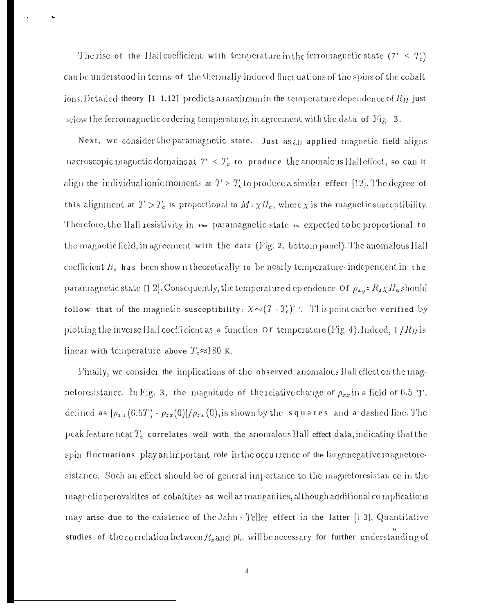The rise of the Hall coefficient with temperature in the ferromagnetic state  $(7' < T_c)$ can be understood in terms of the thermally induced fluct uations of the spins of the cobalt ions. Detailed theory [1 1,12] predicts a maximum in the temperature dependence of  $R_H$  just below the ferromagnetic ordering temperature, in agreement with the data of Fig.  $3$ .

Next, we consider the paramagnetic state. Just as an applied magnetic field aligns nacroscopic magnetic domains at  $7' < T_c$  to produce the anomalous Hall effect, so can it align the individual ionic moments at  $T > T_c$  to produce a similar effect [12]. The degree of this alignment at  $T > T_c$  is proportional to  $M \in \chi H_a$ , where  $\chi$  is the magnetic susceptibility. Therefore, the Hall resistivity in the paramagnetic state is expected to be proportional to the magnetic field, in agreement with the data (Fig. 2, bottom panel). The anomalous Hall coefficient  $R_s$  has been shown theoretically to be nearly temperature-independent in the paramagnetic state  $[1\ 2]$ . Consequently, the temperature d ependence of  $\rho_{xy} = R_s \chi H_a$  should follow that of the magnetic susceptibility:  $X \sim (T-T_c)^{-1}$ . This point can be verified by plotting the inverse Hall coefficient as a function of temperature (Fig. 4). Indeed,  $1/R_H$  is linear with temperature above  $T_c \approx 180$  K.

Finally, we consider the implications of the observed anomalous Hall effect on the magnetoresistance. In Fig. 3, the magnitude of the relative change of  $\rho_{xx}$  in a field of 6.5 T. defined as  $[\rho_{xx}(6.5T) - \rho_{xx}(0)]/\rho_{xx}(0)$ , is shown by the squares and a dashed line. The peak feature near  $T_c$  correlates well with the anomalous Hall effect data, indicating that the spin fluctuations play an important role in the occurrence of the large negative magnetoresistance. Such an effect should be of general importance to the magnetoresistan ce in the magnetic perovskites of cobaltites as well as manganites, although additional complications may arise due to the existence of the Jahn - Teller effect in the latter [13]. Quantitative studies of the correlation between  $R_s$  and pi, will be necessary for further understanding of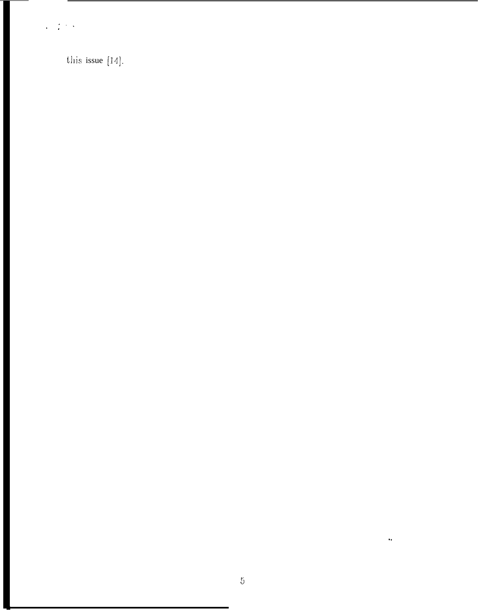$\frac{1}{2}$  ,  $\frac{1}{2}$  ,  $\frac{1}{2}$  ,  $\frac{1}{2}$ 

this issue  $[14]$ .

 $\ddot{\phantom{a}}$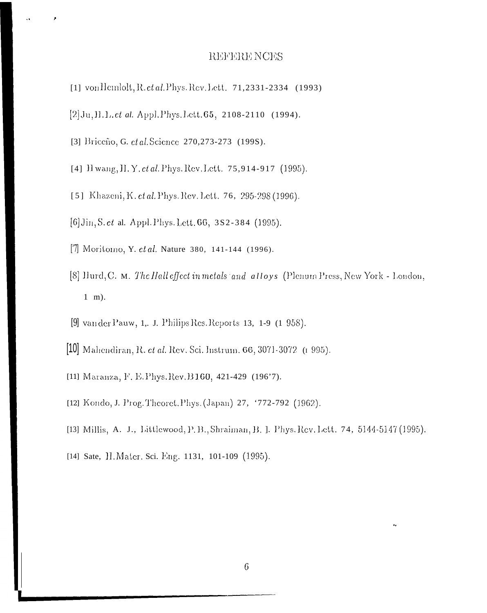## REFERE NCES

- [1] von Hemlolt, R. et al. Phys. Rev. Lett. 71,2331-2334 (1993)
- $[2]$  Ju, II. l. *et al.* Appl. Phys. Lett. 65, 2108-2110 (1994).
- [3] Briceño, G. et al. Science 270, 273-273 (1998).
- [4] H wang, H. Y. et al. Phys. Rev. Lett. 75,914-917 (1995).
- [5] Khazeni, K. ct al. Phys. Rev. Lett. 76, 295-298 (1996).
- [6] Jin, S. et al. Appl. Phys. Lett. 66, 3S2-384 (1995).
- [7] Moritomo, Y. et al. Nature 380, 141-144 (1996).
- [8] Hurd, C. M. The Hall effect in metals and alloys (Plenum Press, New York London,  $1 \text{ m}$ ).
- [9] van der Pauw, 1, J. Philips Res. Reports 13, 1-9 (1 958).
- [10] Mahendiran, R. et al. Rev. Sci. Instrum. 66, 3071-3072 (1995).
- [11] Maranza, F. E. Phys. Rev. B160, 421-429 (196'7).
- [12] Kondo, J. Prog. Theoret. Phys. (Japan) 27, '772-792 (1962).
- [13] Millis, A. J., Littlewood, P. B., Shraiman, B. J. Phys. Rev. Lett. 74, 5144-5147 (1995).
- [14] Sate, H. Mater. Sci. Eng. 1131, 101-109 (1995).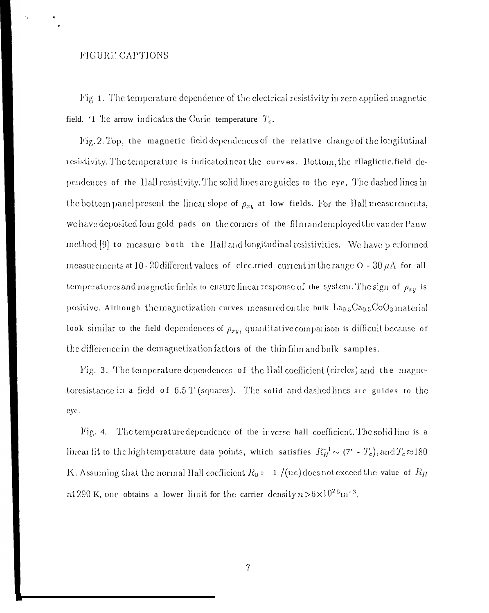## FIGURE CAPTIONS

Fig. 1. The temperature dependence of the electrical resistivity in zero applied magnetic field. '1 'he arrow indicates the Curic temperature  $T_c$ .

Fig. 2. Top, the magnetic field dependences of the relative change of the longitutinal resistivity. The temperature is indicated near the curves. Bottom, the rllaglictic field dependences of the Hall resistivity. The solid lines are guides to the eye, The dashed lines in the bottom panel present the linear slope of  $\rho_{xy}$  at low fields. For the Hall measurements, we have deposited four gold pads on the corners of the film and employed the vander Pauw method [9] to measure both the Hall and longitudinal resistivities. We have p erformed measurements at 10 - 20 different values of clectried current in the range  $O - 30 \mu A$  for all temperatures and magnetic fields to ensure linear response of the system. The sign of  $\rho_{xy}$  is positive. Although the magnetization curves measured on the bulk La<sub>0.5</sub>Ca<sub>0.5</sub>CoO<sub>3</sub> material look similar to the field dependences of  $\rho_{xy}$ , quantitative comparison is difficult because of the difference in the demagnetization factors of the thin film and bulk samples.

Fig. 3. The temperature dependences of the Hall coefficient (circles) and the magnetoresistance in a field of 6.5 T (squares). The solid and dashed lines are guides to the eye.

Fig. 4. The temperature dependence of the inverse hall coefficient. The solid line is a linear fit to the high temperature data points, which satisfies  $R_H^{-1} \sim (7' - T_c)$ , and  $T_c \approx 180$ K. Assuming that the normal Hall coefficient  $R_0 = 1/(ne)$  does not exceed the value of  $R_H$ at 290 K, one obtains a lower limit for the carrier density  $n > 6 \times 10^{26}$ m<sup>-3</sup>.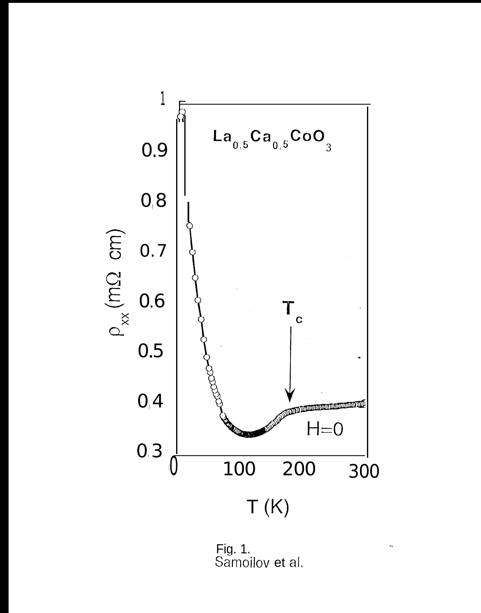

Fig. 1.<br>Samoilov et al.

 $\hat{\mathbf{r}}_k$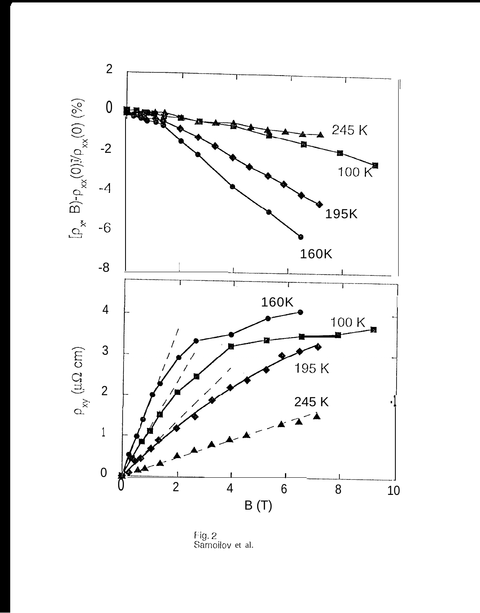

Fig. 2 Samoilov et al.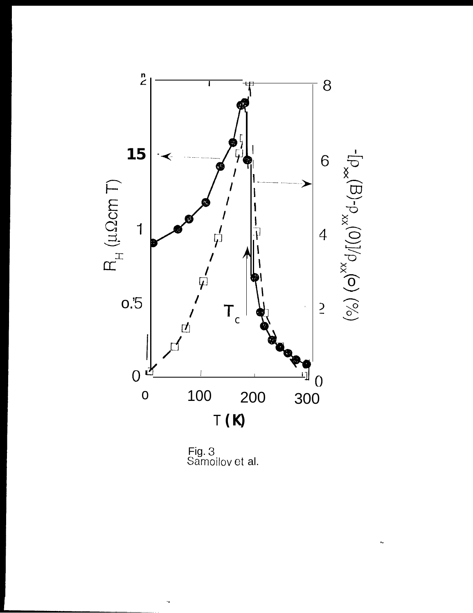

Fig. 3<br>Samoilov et al.

 $\ddot{\phantom{0}}$ 

 $\ddot{\phantom{1}}$